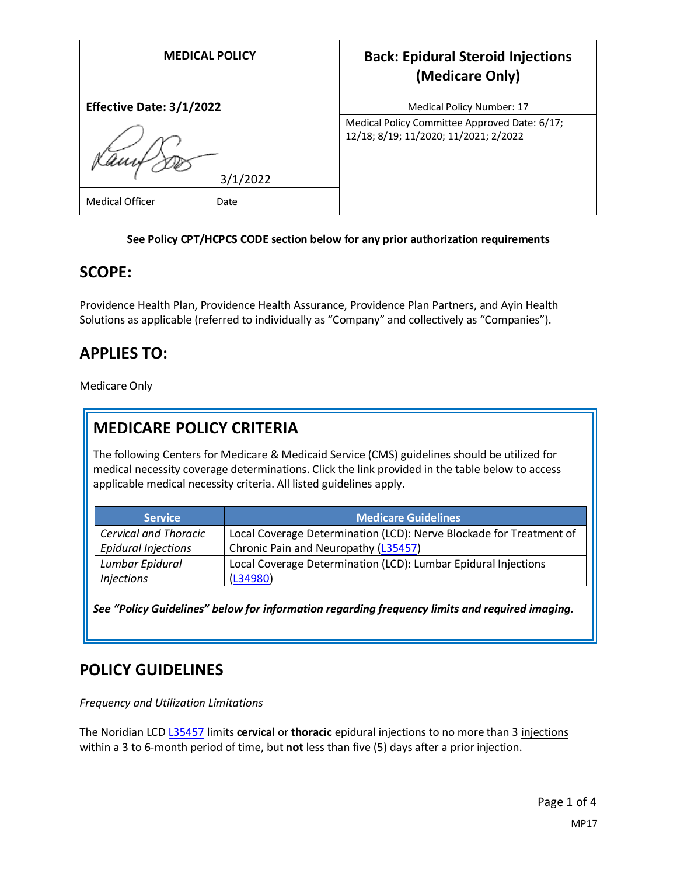| <b>MEDICAL POLICY</b>           | <b>Back: Epidural Steroid Injections</b><br>(Medicare Only)                            |
|---------------------------------|----------------------------------------------------------------------------------------|
| <b>Effective Date: 3/1/2022</b> | Medical Policy Number: 17                                                              |
|                                 | Medical Policy Committee Approved Date: 6/17;<br>12/18; 8/19; 11/2020; 11/2021; 2/2022 |
| 3/1/2022                        |                                                                                        |
| <b>Medical Officer</b><br>Date  |                                                                                        |

#### **See Policy CPT/HCPCS CODE section below for any prior authorization requirements**

#### **SCOPE:**

Providence Health Plan, Providence Health Assurance, Providence Plan Partners, and Ayin Health Solutions as applicable (referred to individually as "Company" and collectively as "Companies").

### **APPLIES TO:**

Medicare Only

#### **MEDICARE POLICY CRITERIA**

The following Centers for Medicare & Medicaid Service (CMS) guidelines should be utilized for medical necessity coverage determinations. Click the link provided in the table below to access applicable medical necessity criteria. All listed guidelines apply.

| <b>Service</b>               | <b>Medicare Guidelines</b>                                          |
|------------------------------|---------------------------------------------------------------------|
| <b>Cervical and Thoracic</b> | Local Coverage Determination (LCD): Nerve Blockade for Treatment of |
| <b>Epidural Injections</b>   | Chronic Pain and Neuropathy (L35457)                                |
| Lumbar Epidural              | Local Coverage Determination (LCD): Lumbar Epidural Injections      |
| <i>Injections</i>            | (L34980)                                                            |

*See "Policy Guidelines" below for information regarding frequency limits and required imaging.*

#### **POLICY GUIDELINES**

*Frequency and Utilization Limitations*

The Noridian LCD [L35457](https://www.cms.gov/medicare-coverage-database/view/lcd.aspx?LCDId=35457) limits **cervical** or **thoracic** epidural injections to no more than 3 injections within a 3 to 6-month period of time, but **not** less than five (5) days after a prior injection.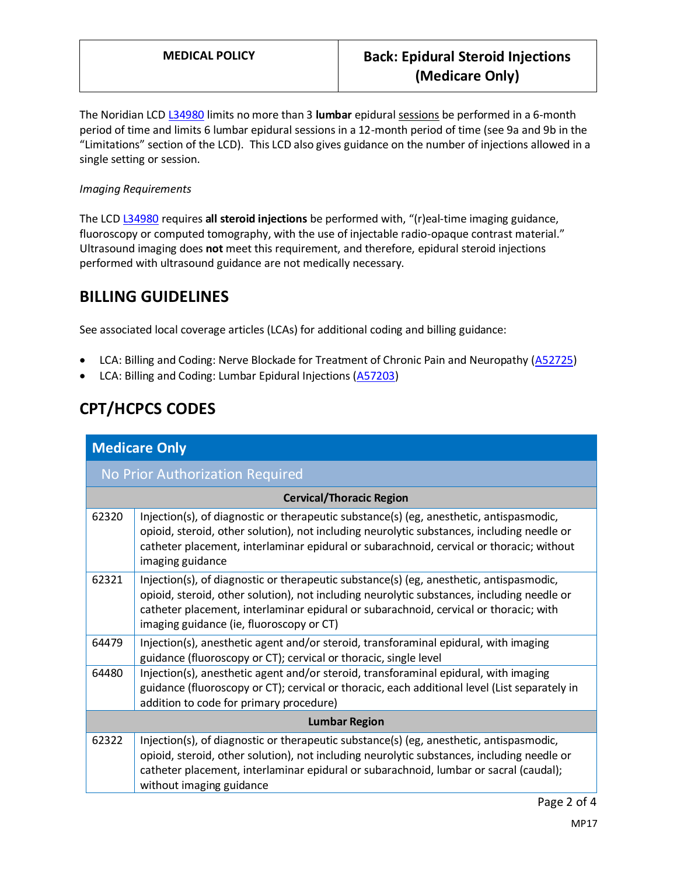The Noridian LCD [L34980](https://www.cms.gov/medicare-coverage-database/view/lcd.aspx?LCDId=34980) limits no more than 3 **lumbar** epidural sessions be performed in a 6-month period of time and limits 6 lumbar epidural sessions in a 12-month period of time (see 9a and 9b in the "Limitations" section of the LCD). This LCD also gives guidance on the number of injections allowed in a single setting or session.

#### *Imaging Requirements*

The LCD [L34980](https://www.cms.gov/medicare-coverage-database/view/lcd.aspx?LCDId=34980) requires **all steroid injections** be performed with, "(r)eal-time imaging guidance, fluoroscopy or computed tomography, with the use of injectable radio-opaque contrast material." Ultrasound imaging does **not** meet this requirement, and therefore, epidural steroid injections performed with ultrasound guidance are not medically necessary.

### **BILLING GUIDELINES**

See associated local coverage articles (LCAs) for additional coding and billing guidance:

- LCA: Billing and Coding: Nerve Blockade for Treatment of Chronic Pain and Neuropathy [\(A52725\)](https://www.cms.gov/medicare-coverage-database/details/article-details.aspx?articleId=52725)
- LCA: Billing and Coding: Lumbar Epidural Injections [\(A57203\)](https://www.cms.gov/medicare-coverage-database/details/article-details.aspx?articleId=57203)

# **CPT/HCPCS CODES**

| <b>Medicare Only</b>            |                                                                                                                                                                                                                                                                                                                            |  |
|---------------------------------|----------------------------------------------------------------------------------------------------------------------------------------------------------------------------------------------------------------------------------------------------------------------------------------------------------------------------|--|
|                                 | No Prior Authorization Required                                                                                                                                                                                                                                                                                            |  |
| <b>Cervical/Thoracic Region</b> |                                                                                                                                                                                                                                                                                                                            |  |
| 62320                           | Injection(s), of diagnostic or therapeutic substance(s) (eg, anesthetic, antispasmodic,<br>opioid, steroid, other solution), not including neurolytic substances, including needle or<br>catheter placement, interlaminar epidural or subarachnoid, cervical or thoracic; without<br>imaging guidance                      |  |
| 62321                           | Injection(s), of diagnostic or therapeutic substance(s) (eg, anesthetic, antispasmodic,<br>opioid, steroid, other solution), not including neurolytic substances, including needle or<br>catheter placement, interlaminar epidural or subarachnoid, cervical or thoracic; with<br>imaging guidance (ie, fluoroscopy or CT) |  |
| 64479                           | Injection(s), anesthetic agent and/or steroid, transforaminal epidural, with imaging<br>guidance (fluoroscopy or CT); cervical or thoracic, single level                                                                                                                                                                   |  |
| 64480                           | Injection(s), anesthetic agent and/or steroid, transforaminal epidural, with imaging<br>guidance (fluoroscopy or CT); cervical or thoracic, each additional level (List separately in<br>addition to code for primary procedure)                                                                                           |  |
| <b>Lumbar Region</b>            |                                                                                                                                                                                                                                                                                                                            |  |
| 62322                           | Injection(s), of diagnostic or therapeutic substance(s) (eg, anesthetic, antispasmodic,<br>opioid, steroid, other solution), not including neurolytic substances, including needle or<br>catheter placement, interlaminar epidural or subarachnoid, lumbar or sacral (caudal);<br>without imaging guidance                 |  |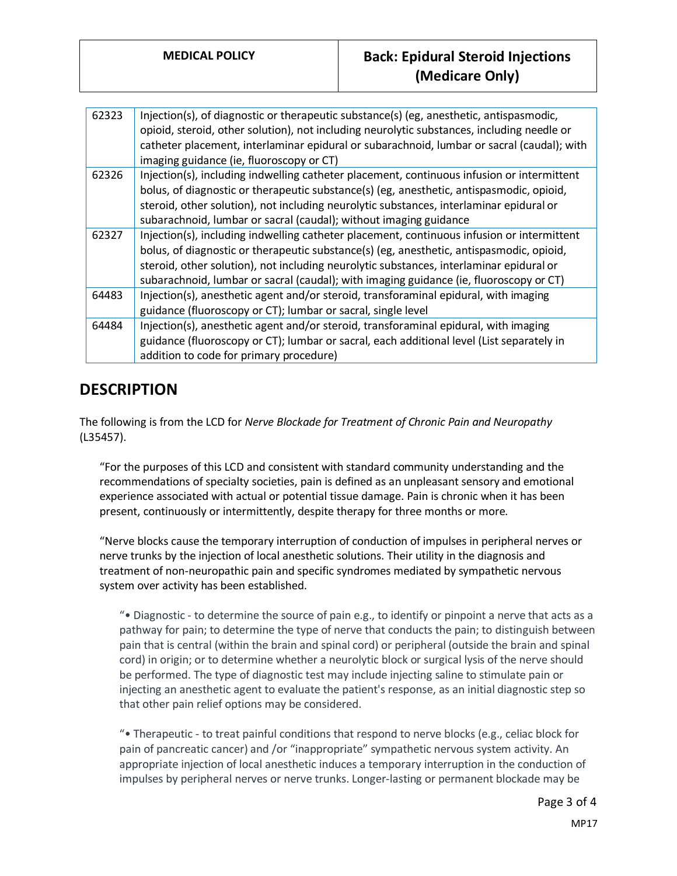| 62323 | Injection(s), of diagnostic or therapeutic substance(s) (eg, anesthetic, antispasmodic,<br>opioid, steroid, other solution), not including neurolytic substances, including needle or<br>catheter placement, interlaminar epidural or subarachnoid, lumbar or sacral (caudal); with<br>imaging guidance (ie, fluoroscopy or CT)                                             |
|-------|-----------------------------------------------------------------------------------------------------------------------------------------------------------------------------------------------------------------------------------------------------------------------------------------------------------------------------------------------------------------------------|
| 62326 | Injection(s), including indwelling catheter placement, continuous infusion or intermittent<br>bolus, of diagnostic or therapeutic substance(s) (eg, anesthetic, antispasmodic, opioid,<br>steroid, other solution), not including neurolytic substances, interlaminar epidural or<br>subarachnoid, lumbar or sacral (caudal); without imaging guidance                      |
| 62327 | Injection(s), including indwelling catheter placement, continuous infusion or intermittent<br>bolus, of diagnostic or therapeutic substance(s) (eg, anesthetic, antispasmodic, opioid,<br>steroid, other solution), not including neurolytic substances, interlaminar epidural or<br>subarachnoid, lumbar or sacral (caudal); with imaging guidance (ie, fluoroscopy or CT) |
| 64483 | Injection(s), anesthetic agent and/or steroid, transforaminal epidural, with imaging<br>guidance (fluoroscopy or CT); lumbar or sacral, single level                                                                                                                                                                                                                        |
| 64484 | Injection(s), anesthetic agent and/or steroid, transforaminal epidural, with imaging<br>guidance (fluoroscopy or CT); lumbar or sacral, each additional level (List separately in<br>addition to code for primary procedure)                                                                                                                                                |

## **DESCRIPTION**

The following is from the LCD for *Nerve Blockade for Treatment of Chronic Pain and Neuropathy*  (L35457).

"For the purposes of this LCD and consistent with standard community understanding and the recommendations of specialty societies, pain is defined as an unpleasant sensory and emotional experience associated with actual or potential tissue damage. Pain is chronic when it has been present, continuously or intermittently, despite therapy for three months or more.

"Nerve blocks cause the temporary interruption of conduction of impulses in peripheral nerves or nerve trunks by the injection of local anesthetic solutions. Their utility in the diagnosis and treatment of non-neuropathic pain and specific syndromes mediated by sympathetic nervous system over activity has been established.

"• Diagnostic - to determine the source of pain e.g., to identify or pinpoint a nerve that acts as a pathway for pain; to determine the type of nerve that conducts the pain; to distinguish between pain that is central (within the brain and spinal cord) or peripheral (outside the brain and spinal cord) in origin; or to determine whether a neurolytic block or surgical lysis of the nerve should be performed. The type of diagnostic test may include injecting saline to stimulate pain or injecting an anesthetic agent to evaluate the patient's response, as an initial diagnostic step so that other pain relief options may be considered.

"• Therapeutic - to treat painful conditions that respond to nerve blocks (e.g., celiac block for pain of pancreatic cancer) and /or "inappropriate" sympathetic nervous system activity. An appropriate injection of local anesthetic induces a temporary interruption in the conduction of impulses by peripheral nerves or nerve trunks. Longer-lasting or permanent blockade may be